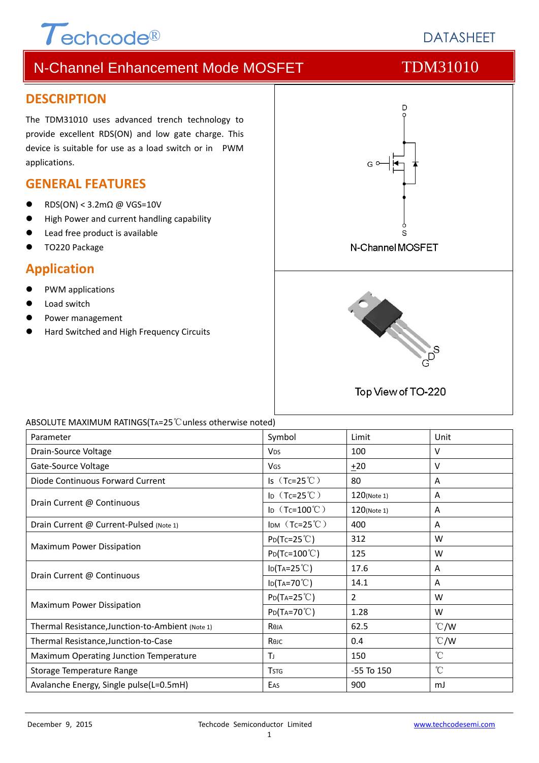# $\tau$ <sub>echcode®</sub>

# **DATASHEFT**

# N-Channel Enhancement Mode MOSFET TDM31010

#### **DESCRIPTION**

The TDM31010 uses advanced trench technology to provide excellent RDS(ON) and low gate charge. This device is suitable for use as a load switch or in PWM applications.

### **GENERAL FEATURES**

- RDS(ON) < 3.2mΩ @ VGS=10V
- High Power and current handling capability
- Lead free product is available
- TO220 Package

### **Application**

- PWM applications
- Load switch
- Power management
- Hard Switched and High Frequency Circuits



#### ABSOLUTE MAXIMUM RATINGS(TA=25℃unless otherwise noted)

| Parameter                                        | Symbol                             | Limit          | Unit            |
|--------------------------------------------------|------------------------------------|----------------|-----------------|
| Drain-Source Voltage                             | V <sub>DS</sub>                    | 100            | v               |
| Gate-Source Voltage                              | VGS                                | $+20$          | v               |
| Diode Continuous Forward Current                 | Is $(Tc=25^{\circ}C)$              | 80             | A               |
| Drain Current @ Continuous                       | ID $(Tc=25^{\circ}C)$              | 120(Note 1)    | Α               |
|                                                  | ID $(Tc=100^{\circ}C)$             | 120(Note 1)    | Α               |
| Drain Current @ Current-Pulsed (Note 1)          | IDM $(Tc=25^{\circ}C)$             | 400            | A               |
|                                                  | $P_{D}(Tc=25^{\circ}C)$            | 312            | W               |
| Maximum Power Dissipation                        | $Po(Tc=100^{\circ}C)$              | 125            | W               |
|                                                  | $\text{ID(TA=25}^{\circ}\text{C})$ | 17.6           | Α               |
| Drain Current @ Continuous                       | $lo(T_A=70^{\circ}C)$              | 14.1           | A               |
| Maximum Power Dissipation                        | $P_{D}(T_{A}=25^{\circ}C)$         | $\overline{2}$ | W               |
|                                                  | $P_{D}(Ta=70^{\circ}C)$            | 1.28           | W               |
| Thermal Resistance, Junction-to-Ambient (Note 1) | Reja                               | 62.5           | $\degree$ C/W   |
| Thermal Resistance, Junction-to-Case             | Көлс                               | 0.4            | $\degree$ C/W   |
| Maximum Operating Junction Temperature           | TJ                                 | 150            | $\rm ^{\circ}C$ |
| Storage Temperature Range                        | <b>TSTG</b>                        | -55 To 150     | $^{\circ}$ C    |
| Avalanche Energy, Single pulse(L=0.5mH)          | EAS                                | 900            | mJ              |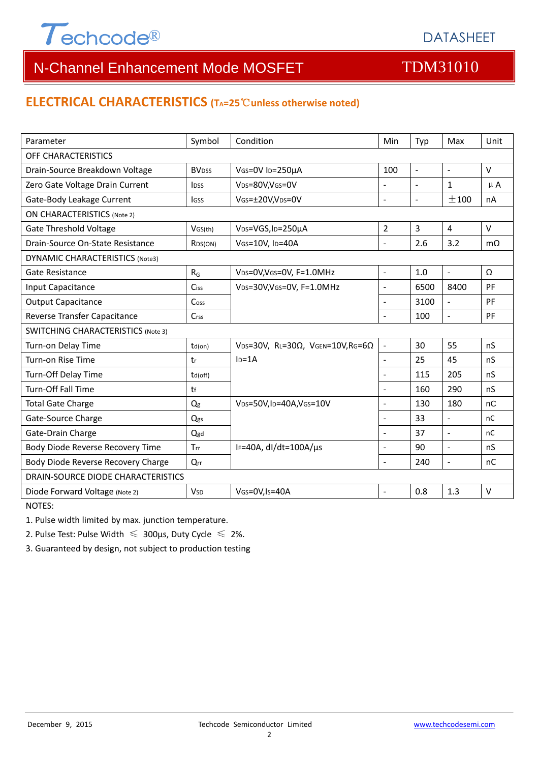

# N-Channel Enhancement Mode MOSFET TOM31010

### **ELECTRICAL CHARACTERISTICS (TA=25**℃**unless otherwise noted)**

| Parameter                                 | Symbol                  | Condition                                         | Min            | Typ            | Max                      | Unit      |  |  |  |
|-------------------------------------------|-------------------------|---------------------------------------------------|----------------|----------------|--------------------------|-----------|--|--|--|
| OFF CHARACTERISTICS                       |                         |                                                   |                |                |                          |           |  |  |  |
| Drain-Source Breakdown Voltage            | <b>BV<sub>DSS</sub></b> | VGS=0V ID=250µA                                   | 100            | ÷,             | $\Box$                   | V         |  |  |  |
| Zero Gate Voltage Drain Current           | <b>l</b> <sub>DSS</sub> | V <sub>DS</sub> =80V,V <sub>GS</sub> =0V          |                |                | $\mathbf{1}$             | $\mu$ A   |  |  |  |
| Gate-Body Leakage Current                 | <b>IGSS</b>             | VGS=±20V,VDS=0V                                   | $\overline{a}$ | $\sim$         | ±100                     | nA        |  |  |  |
| <b>ON CHARACTERISTICS (Note 2)</b>        |                         |                                                   |                |                |                          |           |  |  |  |
| <b>Gate Threshold Voltage</b>             | VGS(th)                 | V <sub>DS</sub> =VGS, I <sub>D</sub> =250µA       | $\overline{2}$ | $\overline{3}$ | $\overline{4}$           | $\vee$    |  |  |  |
| Drain-Source On-State Resistance          | R <sub>DS</sub> (ON)    | VGS=10V, ID=40A                                   | $\overline{a}$ | 2.6            | 3.2                      | $m\Omega$ |  |  |  |
| <b>DYNAMIC CHARACTERISTICS (Note3)</b>    |                         |                                                   |                |                |                          |           |  |  |  |
| Gate Resistance                           | $R_G$                   | VDS=0V, VGS=0V, F=1.0MHz                          | $\overline{a}$ | 1.0            | $\omega$                 | Ω         |  |  |  |
| Input Capacitance                         | Ciss                    | VDS=30V, VGS=0V, F=1.0MHz                         | ÷,             | 6500           | 8400                     | PF        |  |  |  |
| <b>Output Capacitance</b>                 | Coss                    |                                                   | $\overline{a}$ | 3100           | $\overline{a}$           | PF        |  |  |  |
| Reverse Transfer Capacitance              | $C$ rss                 |                                                   | $\overline{a}$ | 100            | $\overline{\phantom{a}}$ | PF        |  |  |  |
| <b>SWITCHING CHARACTERISTICS (Note 3)</b> |                         |                                                   |                |                |                          |           |  |  |  |
| Turn-on Delay Time                        | $td($ on $)$            | VDS=30V, RL=30 $\Omega$ , VGEN=10V, RG=6 $\Omega$ | $\frac{1}{2}$  | 30             | 55                       | nS        |  |  |  |
| Turn-on Rise Time                         | tr                      | $I_D = 1A$                                        | $\overline{a}$ | 25             | 45                       | nS        |  |  |  |
| Turn-Off Delay Time                       | td(off)                 |                                                   |                | 115            | 205                      | nS        |  |  |  |
| Turn-Off Fall Time                        | tf                      |                                                   | $\overline{a}$ | 160            | 290                      | nS        |  |  |  |
| <b>Total Gate Charge</b>                  | Qg                      | VDS=50V,ID=40A,VGS=10V                            |                | 130            | 180                      | nC        |  |  |  |
| Gate-Source Charge                        | Qgs                     |                                                   |                | 33             | $\overline{a}$           | nC        |  |  |  |
| Gate-Drain Charge                         | Qgd                     |                                                   |                | 37             | $\overline{\phantom{a}}$ | nC        |  |  |  |
| Body Diode Reverse Recovery Time          | Trr                     | IF=40A, dl/dt=100A/us                             | $\overline{a}$ | 90             | $\overline{a}$           | nS        |  |  |  |
| Body Diode Reverse Recovery Charge        | Qrr                     |                                                   | $\overline{a}$ | 240            | $\overline{a}$           | nC        |  |  |  |
| DRAIN-SOURCE DIODE CHARACTERISTICS        |                         |                                                   |                |                |                          |           |  |  |  |
| Diode Forward Voltage (Note 2)            | <b>V<sub>SD</sub></b>   | VGS=0V,Is=40A                                     | $\overline{a}$ | 0.8            | 1.3                      | $\vee$    |  |  |  |

NOTES:

1. Pulse width limited by max. junction temperature.

2. Pulse Test: Pulse Width  $\leq 300$ μs, Duty Cycle  $\leq 2\%$ .

3. Guaranteed by design, not subject to production testing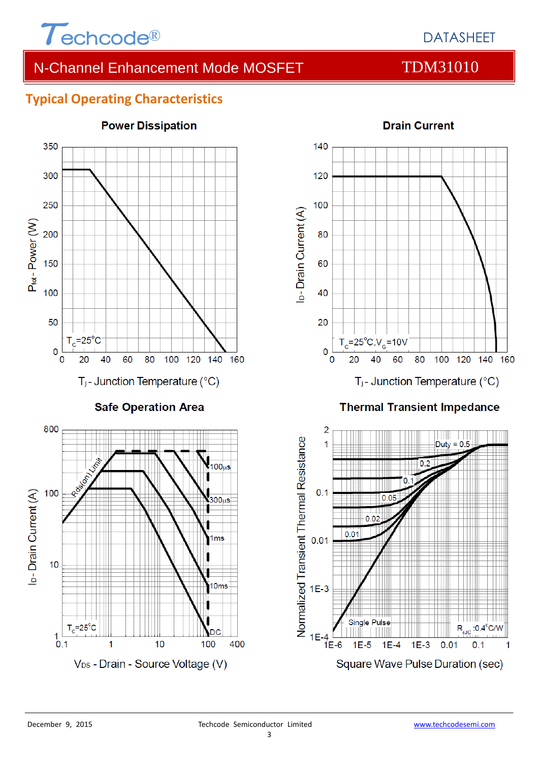

# DATASHEET

# N-Channel Enhancement Mode MOSFET TDM31010

# **Typical Operating Characteristics**



#### **Power Dissipation**



#### **Thermal Transient Impedance**



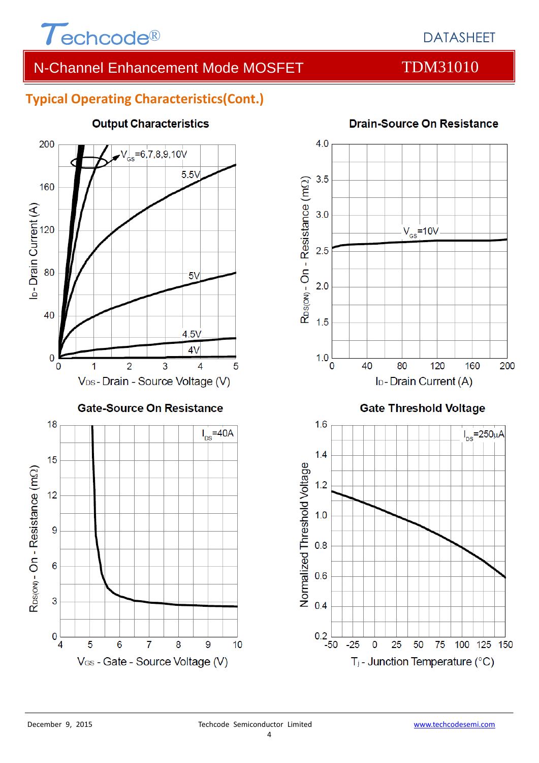

# DATASHEET

# N-Channel Enhancement Mode MOSFET TDM31010

### **Typical Operating Characteristics(Cont.)**



#### **Output Characteristics**



#### **Drain-Source On Resistance**

 $0.2\begin{array}{|c|} \hline 0.2 & -50 \end{array}$ 

 $-25$ 

 $\overline{0}$ 

25

50

T<sub>j</sub> - Junction Temperature (°C)

75

100 125 150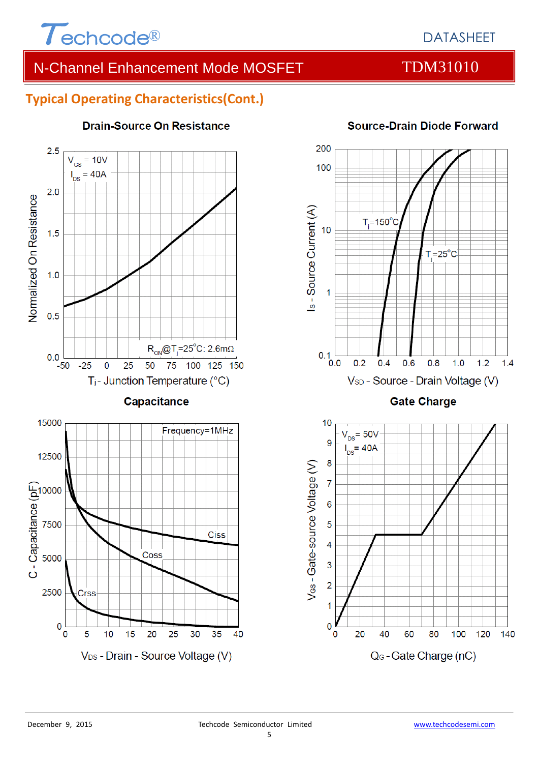

# N-Channel Enhancement Mode MOSFET TDM31010

### **Typical Operating Characteristics(Cont.)**



#### **Drain-Source On Resistance**



#### **Source-Drain Diode Forward**

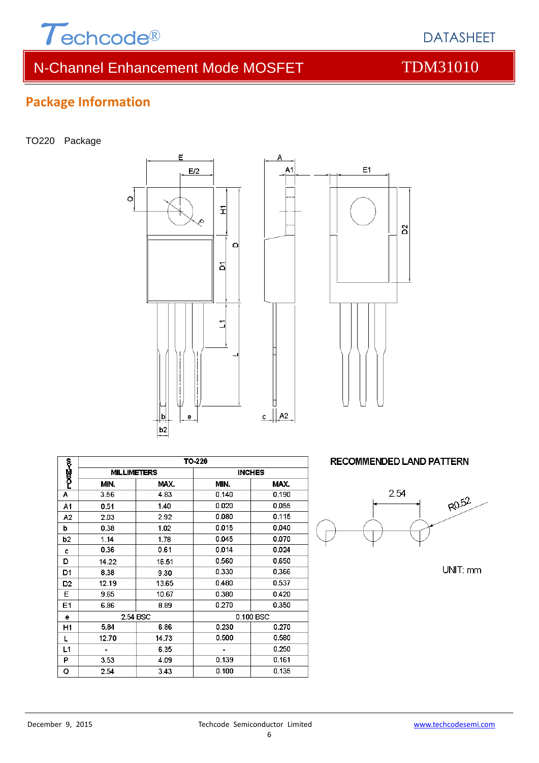

# N-Channel Enhancement Mode MOSFET TDM31010

DATASHEET

# **Package Information**

TO220 Package





Δ

|             | TO-220             |       |                |       |  |
|-------------|--------------------|-------|----------------|-------|--|
| ?<br>Poog≺o | <b>MILLIMETERS</b> |       | <b>INCHES</b>  |       |  |
|             | MIN.               | MAX.  | MIN.           | MAX.  |  |
| Α           | 3.56               | 4.83  | 0.140          | 0.190 |  |
| A1          | 0.51               | 1.40  | 0.020          | 0.055 |  |
| A2          | 2.03               | 2.92  | 0.080          | 0.115 |  |
| þ           | 0.38               | 1.02  | 0.015          | 0.040 |  |
| b2          | 1.14               | 1.78  | 0.045          | 0.070 |  |
| c           | 0.36               | 0.61  | 0.014          | 0.024 |  |
| D           | 14.22              | 16.51 | 0.560          | 0.650 |  |
| D1          | 8.38               | 9.30  | 0.330          | 0.366 |  |
| D2          | 12.19              | 13.65 | 0.480          | 0.537 |  |
| Е           | 9.65               | 10.67 | 0.380          | 0.420 |  |
| E1          | 6.86               | 8.89  | 0.270          | 0.350 |  |
| е           | 2.54 BSC           |       | 0.100 BSC      |       |  |
| H1          | 5.84               | 6.86  | 0.230          | 0.270 |  |
| L           | 12.70              | 14.73 | 0.500          | 0.580 |  |
| L1          |                    | 6.35  | $\blacksquare$ | 0.250 |  |
| P           | 3.53               | 4.09  | 0.139          | 0.161 |  |
| Q           | 2.54               | 3.43  | 0.100          | 0.135 |  |

**RECOMMENDED LAND PATTERN** 



UNIT: mm